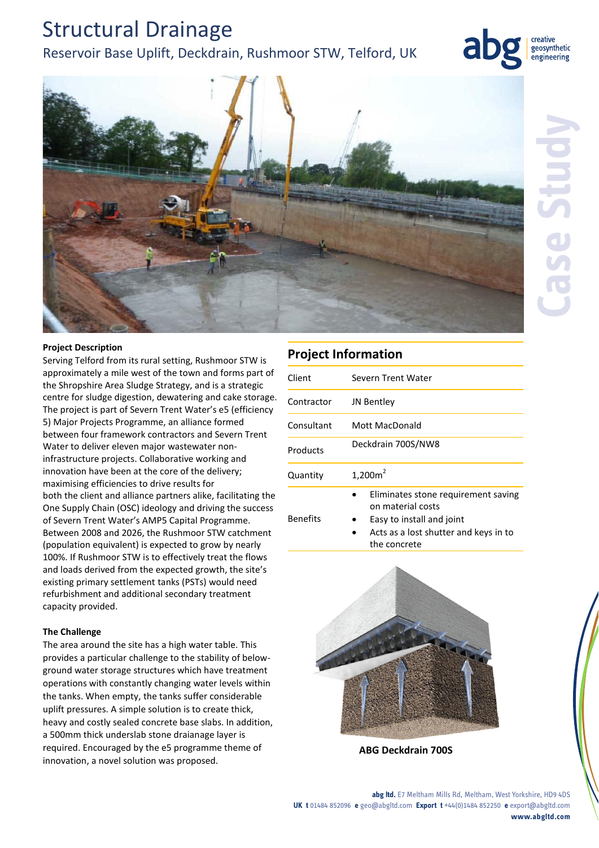# Structural Drainage

### Reservoir Base Uplift, Deckdrain, Rushmoor STW, Telford, UK



creative geosynthetic engineering

#### **Project Description**

Serving Telford from its rural setting, Rushmoor STW is approximately a mile west of the town and forms part of the Shropshire Area Sludge Strategy, and is a strategic centre for sludge digestion, dewatering and cake storage. The project is part of Severn Trent Water's e5 (efficiency 5) Major Projects Programme, an alliance formed between four framework contractors and Severn Trent Water to deliver eleven major wastewater noninfrastructure projects. Collaborative working and innovation have been at the core of the delivery; maximising efficiencies to drive results for both the client and alliance partners alike, facilitating the One Supply Chain (OSC) ideology and driving the success of Severn Trent Water's AMP5 Capital Programme. Between 2008 and 2026, the Rushmoor STW catchment (population equivalent) is expected to grow by nearly 100%. If Rushmoor STW is to effectively treat the flows and loads derived from the expected growth, the site's existing primary settlement tanks (PSTs) would need refurbishment and additional secondary treatment capacity provided.

#### **The Challenge**

The area around the site has a high water table. This provides a particular challenge to the stability of belowground water storage structures which have treatment operations with constantly changing water levels within the tanks. When empty, the tanks suffer considerable uplift pressures. A simple solution is to create thick, heavy and costly sealed concrete base slabs. In addition, a 500mm thick underslab stone draianage layer is required. Encouraged by the e5 programme theme of innovation, a novel solution was proposed.

### **Project Information**

| Client          | Severn Trent Water                                                                    |
|-----------------|---------------------------------------------------------------------------------------|
| Contractor      | JN Bentley                                                                            |
| Consultant      | Mott MacDonald                                                                        |
| Products        | Deckdrain 700S/NW8                                                                    |
| Quantity        | $1,200m^2$                                                                            |
| <b>Benefits</b> | Eliminates stone requirement saving<br>on material costs<br>Easy to install and joint |

 Acts as a lost shutter and keys in to the concrete



**ABG Deckdrain 700S**